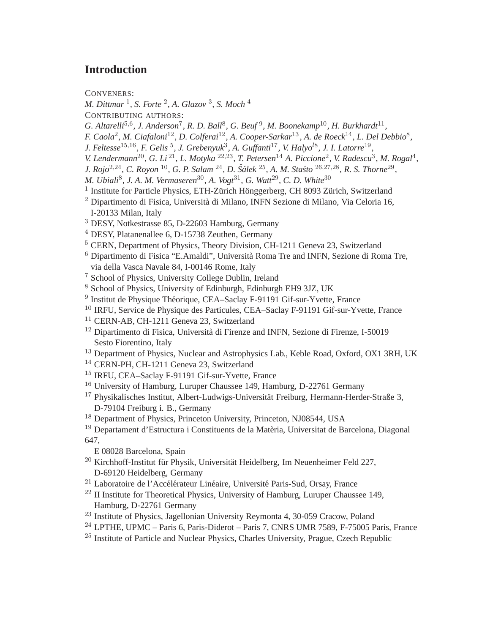## **Introduction**

CONVENERS:

- *M. Dittmar* <sup>1</sup> *, S. Forte* <sup>2</sup> *, A. Glazov* <sup>3</sup> *, S. Moch* <sup>4</sup>
- CONTRIBUTING AUTHORS:
- G. Altarelli<sup>5,6</sup>, J. Anderson<sup>7</sup>, R. D. Ball<sup>8</sup>, G. Beuf<sup>9</sup>, M. Boonekamp<sup>10</sup>, H. Burkhardt<sup>11</sup>,
- *F. Caola*<sup>2</sup> *, M. Ciafaloni*12*, D. Colferai*12*, A. Cooper-Sarkar*<sup>13</sup> *, A. de Roeck*14*, L. Del Debbio*<sup>8</sup> *,*
- *J. Feltesse*15,16*, F. Gelis* <sup>5</sup> *, J. Grebenyuk*<sup>3</sup> *, A. Guffanti*17*, V. Halyo*l<sup>8</sup> *, J. I. Latorre*<sup>19</sup> *,*
- *V. Lendermann*<sup>20</sup>, *G. Li*<sup>21</sup>, *L. Motyka* <sup>22,23</sup>, *T. Petersen*<sup>14</sup> *A. Piccione*<sup>2</sup>, *V. Radescu*<sup>3</sup>, *M. Rogal*<sup>4</sup>,
- *J. Rojo*2,24*, C. Royon* <sup>10</sup>*, G. P. Salam* <sup>24</sup>*, D. Sˇalek ´* <sup>25</sup>*, A. M. Sta´sto* <sup>26</sup>,27,28*, R. S. Thorne*<sup>29</sup> *,*
- *M. Ubiali*<sup>8</sup> *, J. A. M. Vermaseren*30*, A. Vogt*31*, G. Watt*29*, C. D. White*<sup>30</sup>
- <sup>1</sup> Institute for Particle Physics, ETH-Zürich Hönggerberg, CH 8093 Zürich, Switzerland
- $2$  Dipartimento di Fisica, Università di Milano, INFN Sezione di Milano, Via Celoria 16, I-20133 Milan, Italy
- <sup>3</sup> DESY, Notkestrasse 85, D-22603 Hamburg, Germany
- <sup>4</sup> DESY, Platanenallee 6, D-15738 Zeuthen, Germany
- <sup>5</sup> CERN, Department of Physics, Theory Division, CH-1211 Geneva 23, Switzerland
- $6$  Dipartimento di Fisica "E.Amaldi", Università Roma Tre and INFN, Sezione di Roma Tre, via della Vasca Navale 84, I-00146 Rome, Italy
- <sup>7</sup> School of Physics, University College Dublin, Ireland
- <sup>8</sup> School of Physics, University of Edinburgh, Edinburgh EH9 3JZ, UK
- <sup>9</sup> Institut de Physique Théorique, CEA–Saclay F-91191 Gif-sur-Yvette, France
- <sup>10</sup> IRFU, Service de Physique des Particules, CEA–Saclay F-91191 Gif-sur-Yvette, France
- <sup>11</sup> CERN-AB, CH-1211 Geneva 23, Switzerland
- $12$  Dipartimento di Fisica, Università di Firenze and INFN, Sezione di Firenze, I-50019 Sesto Fiorentino, Italy
- <sup>13</sup> Department of Physics, Nuclear and Astrophysics Lab., Keble Road, Oxford, OX1 3RH, UK
- <sup>14</sup> CERN-PH, CH-1211 Geneva 23, Switzerland
- <sup>15</sup> IRFU, CEA–Saclay F-91191 Gif-sur-Yvette, France
- <sup>16</sup> University of Hamburg, Luruper Chaussee 149, Hamburg, D-22761 Germany
- <sup>17</sup> Physikalisches Institut, Albert-Ludwigs-Universität Freiburg, Hermann-Herder-Straße 3, D-79104 Freiburg i. B., Germany
- <sup>18</sup> Department of Physics, Princeton University, Princeton, NJ08544, USA
- <sup>19</sup> Departament d'Estructura i Constituents de la Matèria, Universitat de Barcelona. Diagonal 647,
	- E 08028 Barcelona, Spain
- $20$  Kirchhoff-Institut für Physik, Universität Heidelberg, Im Neuenheimer Feld 227, D-69120 Heidelberg, Germany
- <sup>21</sup> Laboratoire de l'Accélérateur Linéaire, Université Paris-Sud, Orsay, France
- $^{22}$  II Institute for Theoretical Physics, University of Hamburg, Luruper Chaussee 149, Hamburg, D-22761 Germany
- <sup>23</sup> Institute of Physics, Jagellonian University Reymonta 4, 30-059 Cracow, Poland
- $24$  LPTHE, UPMC Paris 6, Paris-Diderot Paris 7, CNRS UMR 7589, F-75005 Paris, France
- <sup>25</sup> Institute of Particle and Nuclear Physics, Charles University, Prague, Czech Republic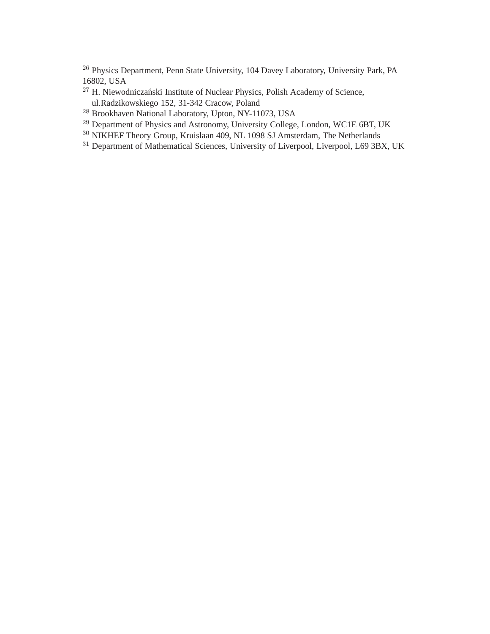<sup>26</sup> Physics Department, Penn State University, 104 Davey Laboratory, University Park, PA 16802, USA

- <sup>27</sup> H. Niewodniczański Institute of Nuclear Physics, Polish Academy of Science, ul.Radzikowskiego 152, 31-342 Cracow, Poland
- <sup>28</sup> Brookhaven National Laboratory, Upton, NY-11073, USA
- <sup>29</sup> Department of Physics and Astronomy, University College, London, WC1E 6BT, UK
- <sup>30</sup> NIKHEF Theory Group, Kruislaan 409, NL 1098 SJ Amsterdam, The Netherlands
- <sup>31</sup> Department of Mathematical Sciences, University of Liverpool, Liverpool, L69 3BX, UK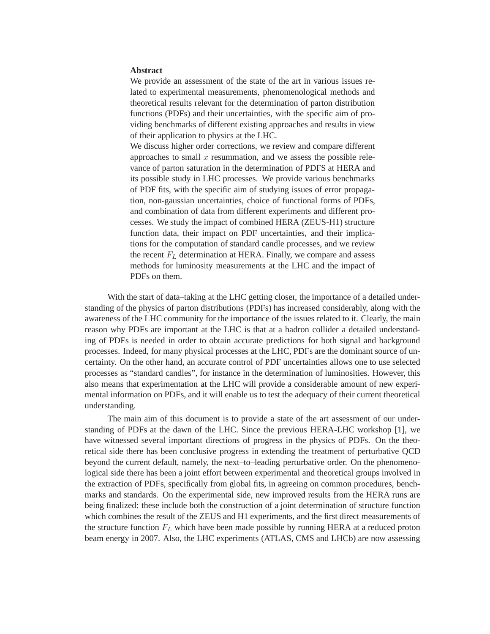## **Abstract**

We provide an assessment of the state of the art in various issues related to experimental measurements, phenomenological methods and theoretical results relevant for the determination of parton distribution functions (PDFs) and their uncertainties, with the specific aim of providing benchmarks of different existing approaches and results in view of their application to physics at the LHC.

We discuss higher order corrections, we review and compare different approaches to small  $x$  resummation, and we assess the possible relevance of parton saturation in the determination of PDFS at HERA and its possible study in LHC processes. We provide various benchmarks of PDF fits, with the specific aim of studying issues of error propagation, non-gaussian uncertainties, choice of functional forms of PDFs, and combination of data from different experiments and different processes. We study the impact of combined HERA (ZEUS-H1) structure function data, their impact on PDF uncertainties, and their implications for the computation of standard candle processes, and we review the recent  $F<sub>L</sub>$  determination at HERA. Finally, we compare and assess methods for luminosity measurements at the LHC and the impact of PDFs on them.

With the start of data–taking at the LHC getting closer, the importance of a detailed understanding of the physics of parton distributions (PDFs) has increased considerably, along with the awareness of the LHC community for the importance of the issues related to it. Clearly, the main reason why PDFs are important at the LHC is that at a hadron collider a detailed understanding of PDFs is needed in order to obtain accurate predictions for both signal and background processes. Indeed, for many physical processes at the LHC, PDFs are the dominant source of uncertainty. On the other hand, an accurate control of PDF uncertainties allows one to use selected processes as "standard candles", for instance in the determination of luminosities. However, this also means that experimentation at the LHC will provide a considerable amount of new experimental information on PDFs, and it will enable us to test the adequacy of their current theoretical understanding.

The main aim of this document is to provide a state of the art assessment of our understanding of PDFs at the dawn of the LHC. Since the previous HERA-LHC workshop [1], we have witnessed several important directions of progress in the physics of PDFs. On the theoretical side there has been conclusive progress in extending the treatment of perturbative QCD beyond the current default, namely, the next–to–leading perturbative order. On the phenomenological side there has been a joint effort between experimental and theoretical groups involved in the extraction of PDFs, specifically from global fits, in agreeing on common procedures, benchmarks and standards. On the experimental side, new improved results from the HERA runs are being finalized: these include both the construction of a joint determination of structure function which combines the result of the ZEUS and H1 experiments, and the first direct measurements of the structure function  $F<sub>L</sub>$  which have been made possible by running HERA at a reduced proton beam energy in 2007. Also, the LHC experiments (ATLAS, CMS and LHCb) are now assessing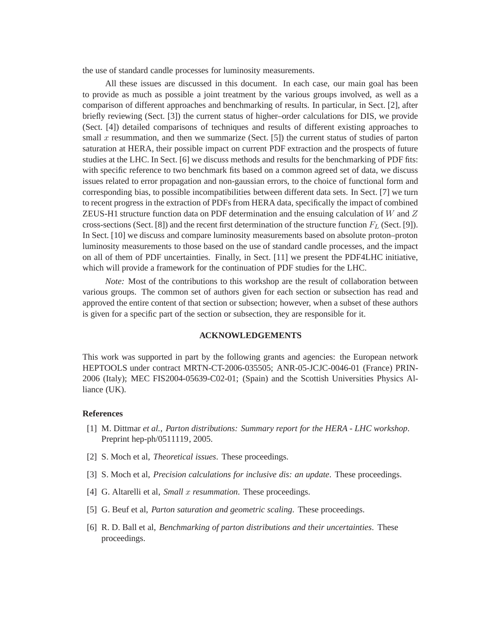the use of standard candle processes for luminosity measurements.

All these issues are discussed in this document. In each case, our main goal has been to provide as much as possible a joint treatment by the various groups involved, as well as a comparison of different approaches and benchmarking of results. In particular, in Sect. [2], after briefly reviewing (Sect. [3]) the current status of higher–order calculations for DIS, we provide (Sect. [4]) detailed comparisons of techniques and results of different existing approaches to small x resummation, and then we summarize (Sect.  $[5]$ ) the current status of studies of parton saturation at HERA, their possible impact on current PDF extraction and the prospects of future studies at the LHC. In Sect. [6] we discuss methods and results for the benchmarking of PDF fits: with specific reference to two benchmark fits based on a common agreed set of data, we discuss issues related to error propagation and non-gaussian errors, to the choice of functional form and corresponding bias, to possible incompatibilities between different data sets. In Sect. [7] we turn to recent progress in the extraction of PDFs from HERA data, specifically the impact of combined ZEUS-H1 structure function data on PDF determination and the ensuing calculation of  $W$  and  $Z$ cross-sections (Sect. [8]) and the recent first determination of the structure function  $F_L$  (Sect. [9]). In Sect. [10] we discuss and compare luminosity measurements based on absolute proton–proton luminosity measurements to those based on the use of standard candle processes, and the impact on all of them of PDF uncertainties. Finally, in Sect. [11] we present the PDF4LHC initiative, which will provide a framework for the continuation of PDF studies for the LHC.

*Note:* Most of the contributions to this workshop are the result of collaboration between various groups. The common set of authors given for each section or subsection has read and approved the entire content of that section or subsection; however, when a subset of these authors is given for a specific part of the section or subsection, they are responsible for it.

## **ACKNOWLEDGEMENTS**

This work was supported in part by the following grants and agencies: the European network HEPTOOLS under contract MRTN-CT-2006-035505; ANR-05-JCJC-0046-01 (France) PRIN-2006 (Italy); MEC FIS2004-05639-C02-01; (Spain) and the Scottish Universities Physics Alliance (UK).

## **References**

- [1] M. Dittmar *et al.*, *Parton distributions: Summary report for the HERA LHC workshop*. Preprint hep-ph/0511119, 2005.
- [2] S. Moch et al, *Theoretical issues*. These proceedings.
- [3] S. Moch et al, *Precision calculations for inclusive dis: an update*. These proceedings.
- [4] G. Altarelli et al, *Small x resummation*. These proceedings.
- [5] G. Beuf et al, *Parton saturation and geometric scaling*. These proceedings.
- [6] R. D. Ball et al, *Benchmarking of parton distributions and their uncertainties*. These proceedings.